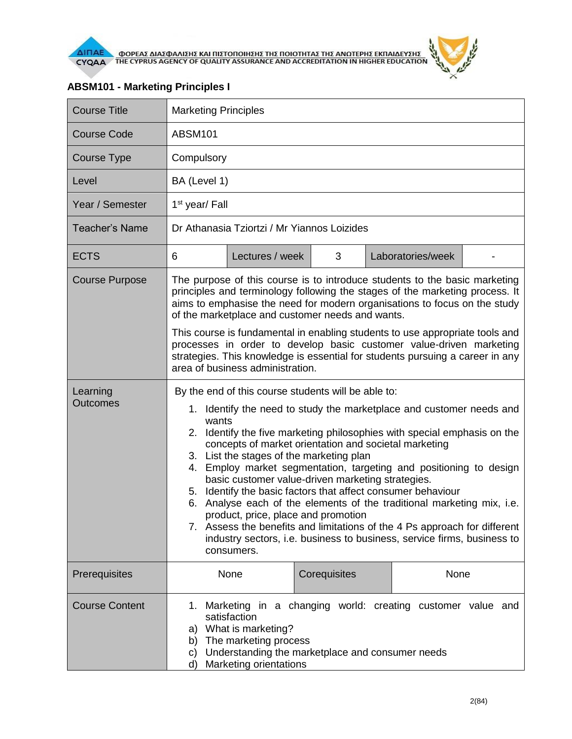

| <b>Course Title</b>         | <b>Marketing Principles</b>                                                                                                                                                                                                                                                                                                                                                                                                                                                                                                                                                                                                                                                                                                                                                                                      |                 |              |                   |  |
|-----------------------------|------------------------------------------------------------------------------------------------------------------------------------------------------------------------------------------------------------------------------------------------------------------------------------------------------------------------------------------------------------------------------------------------------------------------------------------------------------------------------------------------------------------------------------------------------------------------------------------------------------------------------------------------------------------------------------------------------------------------------------------------------------------------------------------------------------------|-----------------|--------------|-------------------|--|
| <b>Course Code</b>          | <b>ABSM101</b>                                                                                                                                                                                                                                                                                                                                                                                                                                                                                                                                                                                                                                                                                                                                                                                                   |                 |              |                   |  |
| Course Type                 | Compulsory                                                                                                                                                                                                                                                                                                                                                                                                                                                                                                                                                                                                                                                                                                                                                                                                       |                 |              |                   |  |
| Level                       | BA (Level 1)                                                                                                                                                                                                                                                                                                                                                                                                                                                                                                                                                                                                                                                                                                                                                                                                     |                 |              |                   |  |
| Year / Semester             | 1 <sup>st</sup> year/ Fall                                                                                                                                                                                                                                                                                                                                                                                                                                                                                                                                                                                                                                                                                                                                                                                       |                 |              |                   |  |
| <b>Teacher's Name</b>       | Dr Athanasia Tziortzi / Mr Yiannos Loizides                                                                                                                                                                                                                                                                                                                                                                                                                                                                                                                                                                                                                                                                                                                                                                      |                 |              |                   |  |
| <b>ECTS</b>                 | 6                                                                                                                                                                                                                                                                                                                                                                                                                                                                                                                                                                                                                                                                                                                                                                                                                | Lectures / week | 3            | Laboratories/week |  |
| <b>Course Purpose</b>       | The purpose of this course is to introduce students to the basic marketing<br>principles and terminology following the stages of the marketing process. It<br>aims to emphasise the need for modern organisations to focus on the study<br>of the marketplace and customer needs and wants.<br>This course is fundamental in enabling students to use appropriate tools and<br>processes in order to develop basic customer value-driven marketing<br>strategies. This knowledge is essential for students pursuing a career in any<br>area of business administration.                                                                                                                                                                                                                                          |                 |              |                   |  |
| Learning<br><b>Outcomes</b> | By the end of this course students will be able to:<br>1. Identify the need to study the marketplace and customer needs and<br>wants<br>2. Identify the five marketing philosophies with special emphasis on the<br>concepts of market orientation and societal marketing<br>3. List the stages of the marketing plan<br>Employ market segmentation, targeting and positioning to design<br>4.<br>basic customer value-driven marketing strategies.<br>Identify the basic factors that affect consumer behaviour<br>5.<br>Analyse each of the elements of the traditional marketing mix, i.e.<br>6.<br>product, price, place and promotion<br>7. Assess the benefits and limitations of the 4 Ps approach for different<br>industry sectors, i.e. business to business, service firms, business to<br>consumers. |                 |              |                   |  |
| Prerequisites               |                                                                                                                                                                                                                                                                                                                                                                                                                                                                                                                                                                                                                                                                                                                                                                                                                  | None            | Corequisites | None              |  |
| <b>Course Content</b>       | 1. Marketing in a changing world: creating customer value and<br>satisfaction<br>a) What is marketing?<br>The marketing process<br>b)<br>Understanding the marketplace and consumer needs<br>C)<br>Marketing orientations<br>d)                                                                                                                                                                                                                                                                                                                                                                                                                                                                                                                                                                                  |                 |              |                   |  |

## **ABSM101 - Marketing Principles I**

 $\frac{d^2y}{dx^2}$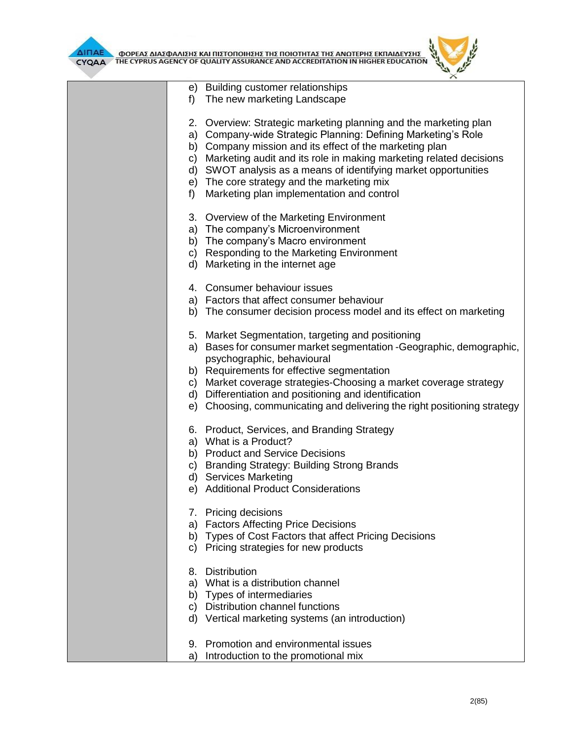

**AITIAE A OOPEAE AIAE DANIERE KAI TIIETOTOIRERE TRE TOIOTRTAE TRE ANOTEPRE EKTIAIAEYERE** 



|    | e) Building customer relationships                                       |  |
|----|--------------------------------------------------------------------------|--|
| f) | The new marketing Landscape                                              |  |
|    | 2. Overview: Strategic marketing planning and the marketing plan         |  |
|    | a) Company-wide Strategic Planning: Defining Marketing's Role            |  |
|    | b) Company mission and its effect of the marketing plan                  |  |
|    | c) Marketing audit and its role in making marketing related decisions    |  |
|    | d) SWOT analysis as a means of identifying market opportunities          |  |
|    | e) The core strategy and the marketing mix                               |  |
| f) | Marketing plan implementation and control                                |  |
|    |                                                                          |  |
|    | 3. Overview of the Marketing Environment                                 |  |
|    | a) The company's Microenvironment                                        |  |
|    | b) The company's Macro environment                                       |  |
|    | c) Responding to the Marketing Environment                               |  |
|    | d) Marketing in the internet age                                         |  |
|    | 4. Consumer behaviour issues                                             |  |
|    | a) Factors that affect consumer behaviour                                |  |
|    | b) The consumer decision process model and its effect on marketing       |  |
|    | 5. Market Segmentation, targeting and positioning                        |  |
|    | a) Bases for consumer market segmentation - Geographic, demographic,     |  |
|    | psychographic, behavioural                                               |  |
|    | b) Requirements for effective segmentation                               |  |
|    | c) Market coverage strategies-Choosing a market coverage strategy        |  |
|    | d) Differentiation and positioning and identification                    |  |
|    | e) Choosing, communicating and delivering the right positioning strategy |  |
|    | 6. Product, Services, and Branding Strategy                              |  |
|    | a) What is a Product?                                                    |  |
|    | b) Product and Service Decisions                                         |  |
|    |                                                                          |  |
|    | c) Branding Strategy: Building Strong Brands                             |  |
|    | d) Services Marketing                                                    |  |
|    | e) Additional Product Considerations                                     |  |
|    | 7. Pricing decisions                                                     |  |
|    | a) Factors Affecting Price Decisions                                     |  |
| b) | Types of Cost Factors that affect Pricing Decisions                      |  |
| C) | Pricing strategies for new products                                      |  |
| 8. | <b>Distribution</b>                                                      |  |
| a) | What is a distribution channel                                           |  |
| b) | Types of intermediaries                                                  |  |
|    | c) Distribution channel functions                                        |  |
|    |                                                                          |  |
| d) | Vertical marketing systems (an introduction)                             |  |
| 9. | Promotion and environmental issues                                       |  |
| a) | Introduction to the promotional mix                                      |  |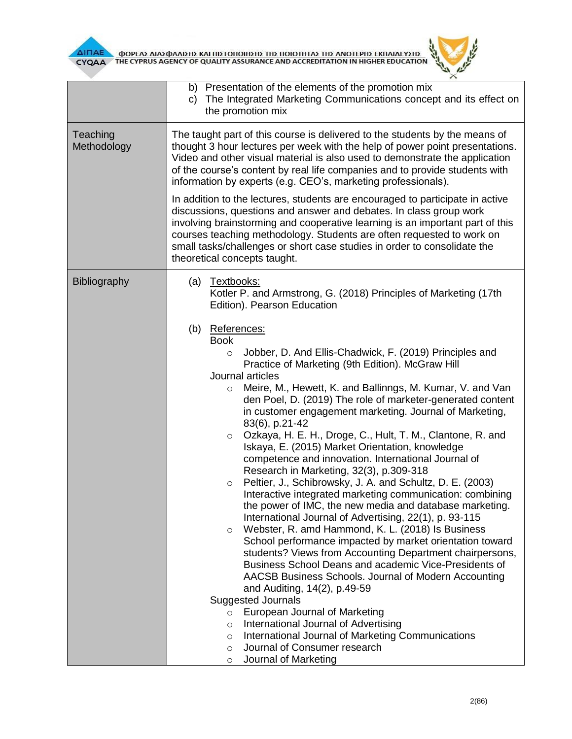



|                         | b) Presentation of the elements of the promotion mix<br>The Integrated Marketing Communications concept and its effect on<br>$\mathsf{C}$<br>the promotion mix                                                                                                                                                                                                                                                                                                                                                                                                                                                                                                                                                                                                                                                                                                                                                                                                                                                                                                                                                                                                                                                                                                                                                                                                                                                                                                                                             |  |  |  |  |  |
|-------------------------|------------------------------------------------------------------------------------------------------------------------------------------------------------------------------------------------------------------------------------------------------------------------------------------------------------------------------------------------------------------------------------------------------------------------------------------------------------------------------------------------------------------------------------------------------------------------------------------------------------------------------------------------------------------------------------------------------------------------------------------------------------------------------------------------------------------------------------------------------------------------------------------------------------------------------------------------------------------------------------------------------------------------------------------------------------------------------------------------------------------------------------------------------------------------------------------------------------------------------------------------------------------------------------------------------------------------------------------------------------------------------------------------------------------------------------------------------------------------------------------------------------|--|--|--|--|--|
| Teaching<br>Methodology | The taught part of this course is delivered to the students by the means of<br>thought 3 hour lectures per week with the help of power point presentations.<br>Video and other visual material is also used to demonstrate the application<br>of the course's content by real life companies and to provide students with<br>information by experts (e.g. CEO's, marketing professionals).<br>In addition to the lectures, students are encouraged to participate in active<br>discussions, questions and answer and debates. In class group work<br>involving brainstorming and cooperative learning is an important part of this<br>courses teaching methodology. Students are often requested to work on                                                                                                                                                                                                                                                                                                                                                                                                                                                                                                                                                                                                                                                                                                                                                                                                |  |  |  |  |  |
|                         | small tasks/challenges or short case studies in order to consolidate the<br>theoretical concepts taught.                                                                                                                                                                                                                                                                                                                                                                                                                                                                                                                                                                                                                                                                                                                                                                                                                                                                                                                                                                                                                                                                                                                                                                                                                                                                                                                                                                                                   |  |  |  |  |  |
| <b>Bibliography</b>     | (a) Textbooks:<br>Kotler P. and Armstrong, G. (2018) Principles of Marketing (17th<br>Edition). Pearson Education                                                                                                                                                                                                                                                                                                                                                                                                                                                                                                                                                                                                                                                                                                                                                                                                                                                                                                                                                                                                                                                                                                                                                                                                                                                                                                                                                                                          |  |  |  |  |  |
|                         | (b) References:<br><b>Book</b><br>Jobber, D. And Ellis-Chadwick, F. (2019) Principles and<br>$\circ$<br>Practice of Marketing (9th Edition). McGraw Hill<br>Journal articles<br>Meire, M., Hewett, K. and Ballinngs, M. Kumar, V. and Van<br>$\circ$<br>den Poel, D. (2019) The role of marketer-generated content<br>in customer engagement marketing. Journal of Marketing,<br>83(6), p.21-42<br>Ozkaya, H. E. H., Droge, C., Hult, T. M., Clantone, R. and<br>$\circ$<br>Iskaya, E. (2015) Market Orientation, knowledge<br>competence and innovation. International Journal of<br>Research in Marketing, 32(3), p.309-318<br>Peltier, J., Schibrowsky, J. A. and Schultz, D. E. (2003)<br>$\circ$<br>Interactive integrated marketing communication: combining<br>the power of IMC, the new media and database marketing.<br>International Journal of Advertising, 22(1), p. 93-115<br>Webster, R. amd Hammond, K. L. (2018) Is Business<br>$\circ$<br>School performance impacted by market orientation toward<br>students? Views from Accounting Department chairpersons,<br>Business School Deans and academic Vice-Presidents of<br>AACSB Business Schools. Journal of Modern Accounting<br>and Auditing, 14(2), p.49-59<br><b>Suggested Journals</b><br>European Journal of Marketing<br>$\circ$<br>International Journal of Advertising<br>$\circ$<br>International Journal of Marketing Communications<br>$\circ$<br>Journal of Consumer research<br>$\circ$<br>Journal of Marketing<br>$\circ$ |  |  |  |  |  |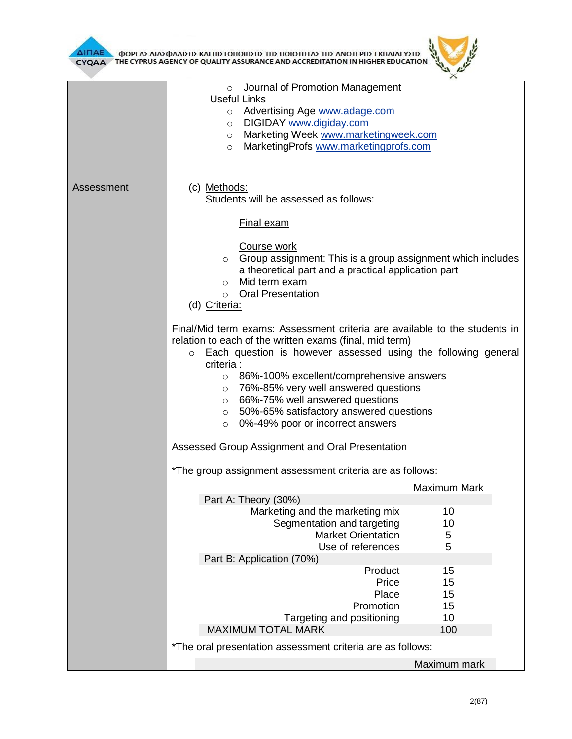

|            | Journal of Promotion Management<br>$\circ$<br><b>Useful Links</b><br>Advertising Age www.adage.com<br>$\circ$<br>DIGIDAY www.digiday.com<br>$\circ$<br>Marketing Week www.marketingweek.com<br>$\circ$<br>MarketingProfs www.marketingprofs.com<br>$\circ$                                                                                                                                                                                                                                   |                                      |  |  |  |
|------------|----------------------------------------------------------------------------------------------------------------------------------------------------------------------------------------------------------------------------------------------------------------------------------------------------------------------------------------------------------------------------------------------------------------------------------------------------------------------------------------------|--------------------------------------|--|--|--|
| Assessment | (c) Methods:<br>Students will be assessed as follows:                                                                                                                                                                                                                                                                                                                                                                                                                                        |                                      |  |  |  |
|            | <b>Final exam</b>                                                                                                                                                                                                                                                                                                                                                                                                                                                                            |                                      |  |  |  |
|            | Course work<br>Group assignment: This is a group assignment which includes<br>$\circ$<br>a theoretical part and a practical application part<br>Mid term exam<br>$\circ$<br><b>Oral Presentation</b><br>$\circ$<br>(d) Criteria:                                                                                                                                                                                                                                                             |                                      |  |  |  |
|            | Final/Mid term exams: Assessment criteria are available to the students in<br>relation to each of the written exams (final, mid term)<br>Each question is however assessed using the following general<br>$\circ$<br>criteria :<br>86%-100% excellent/comprehensive answers<br>$\circ$<br>76%-85% very well answered questions<br>$\circ$<br>66%-75% well answered questions<br>$\circ$<br>50%-65% satisfactory answered questions<br>$\circ$<br>0%-49% poor or incorrect answers<br>$\circ$ |                                      |  |  |  |
|            | Assessed Group Assignment and Oral Presentation                                                                                                                                                                                                                                                                                                                                                                                                                                              |                                      |  |  |  |
|            | *The group assignment assessment criteria are as follows:                                                                                                                                                                                                                                                                                                                                                                                                                                    |                                      |  |  |  |
|            | Part A: Theory (30%)<br>Marketing and the marketing mix<br>Segmentation and targeting<br><b>Market Orientation</b>                                                                                                                                                                                                                                                                                                                                                                           | <b>Maximum Mark</b><br>10<br>10<br>5 |  |  |  |
|            | Use of references<br>Part B: Application (70%)                                                                                                                                                                                                                                                                                                                                                                                                                                               | 5                                    |  |  |  |
|            | Product<br>Price<br>Place<br>Promotion<br>Targeting and positioning                                                                                                                                                                                                                                                                                                                                                                                                                          | 15<br>15<br>15<br>15<br>10           |  |  |  |
|            | <b>MAXIMUM TOTAL MARK</b><br>*The oral presentation assessment criteria are as follows:                                                                                                                                                                                                                                                                                                                                                                                                      | 100                                  |  |  |  |
|            |                                                                                                                                                                                                                                                                                                                                                                                                                                                                                              | Maximum mark                         |  |  |  |

ó